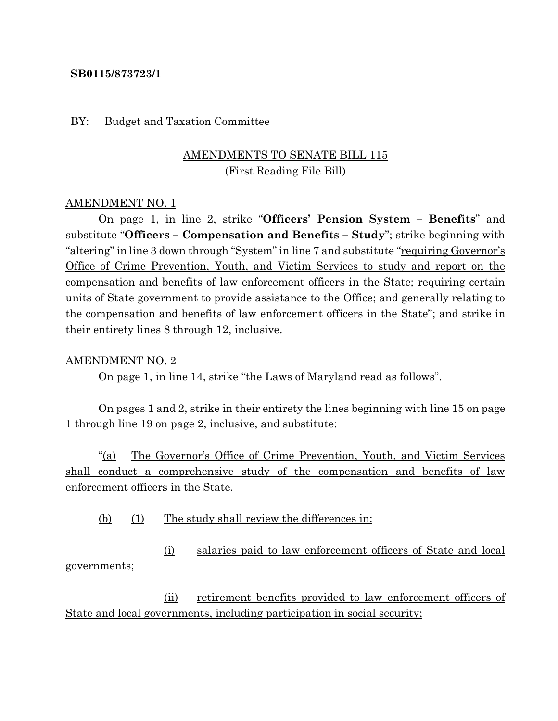#### **SB0115/873723/1**

#### BY: Budget and Taxation Committee

# AMENDMENTS TO SENATE BILL 115 (First Reading File Bill)

#### AMENDMENT NO. 1

On page 1, in line 2, strike "**Officers' Pension System – Benefits**" and substitute "**Officers – Compensation and Benefits – Study**"; strike beginning with "altering" in line 3 down through "System" in line 7 and substitute "requiring Governor's Office of Crime Prevention, Youth, and Victim Services to study and report on the compensation and benefits of law enforcement officers in the State; requiring certain units of State government to provide assistance to the Office; and generally relating to the compensation and benefits of law enforcement officers in the State"; and strike in their entirety lines 8 through 12, inclusive.

#### AMENDMENT NO. 2

On page 1, in line 14, strike "the Laws of Maryland read as follows".

On pages 1 and 2, strike in their entirety the lines beginning with line 15 on page 1 through line 19 on page 2, inclusive, and substitute:

"(a) The Governor's Office of Crime Prevention, Youth, and Victim Services shall conduct a comprehensive study of the compensation and benefits of law enforcement officers in the State.

(b) (1) The study shall review the differences in:

(i) salaries paid to law enforcement officers of State and local governments;

(ii) retirement benefits provided to law enforcement officers of State and local governments, including participation in social security;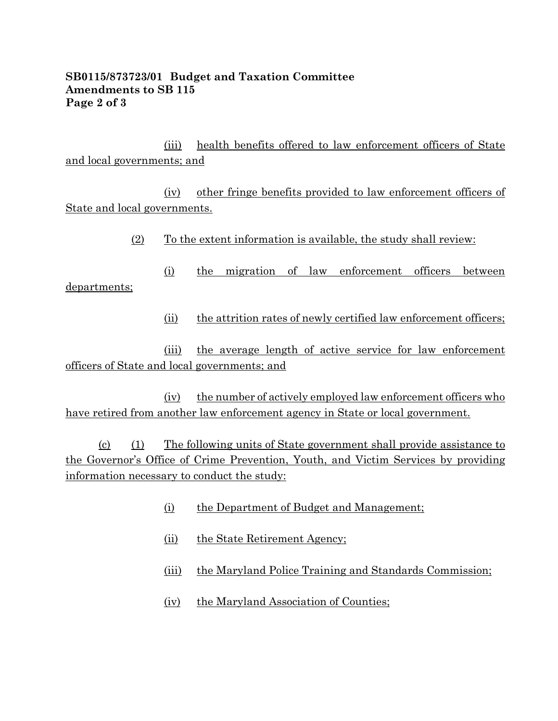### **SB0115/873723/01 Budget and Taxation Committee Amendments to SB 115 Page 2 of 3**

(iii) health benefits offered to law enforcement officers of State and local governments; and

(iv) other fringe benefits provided to law enforcement officers of State and local governments.

 $(2)$  To the extent information is available, the study shall review:

(i) the migration of law enforcement officers between departments;

(ii) the attrition rates of newly certified law enforcement officers;

(iii) the average length of active service for law enforcement officers of State and local governments; and

(iv) the number of actively employed law enforcement officers who have retired from another law enforcement agency in State or local government.

(c) (1) The following units of State government shall provide assistance to the Governor's Office of Crime Prevention, Youth, and Victim Services by providing information necessary to conduct the study:

- (i) the Department of Budget and Management;
- (ii) the State Retirement Agency;
- (iii) the Maryland Police Training and Standards Commission;
- (iv) the Maryland Association of Counties;